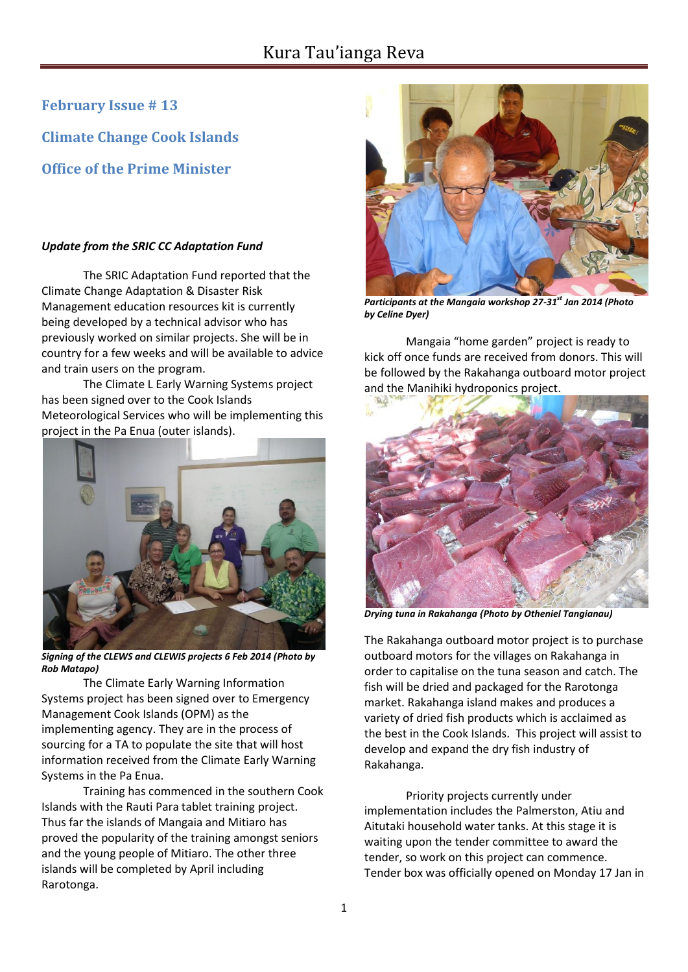**February Issue # 13**

**Climate Change Cook Islands**

**Office of the Prime Minister**

## *Update from the SRIC CC Adaptation Fund*

The SRIC Adaptation Fund reported that the Climate Change Adaptation & Disaster Risk Management education resources kit is currently being developed by a technical advisor who has previously worked on similar projects. She will be in country for a few weeks and will be available to advice and train users on the program.

The Climate L Early Warning Systems project has been signed over to the Cook Islands Meteorological Services who will be implementing this project in the Pa Enua (outer islands).



*Signing of the CLEWS and CLEWIS projects 6 Feb 2014 (Photo by Rob Matapo)*

The Climate Early Warning Information Systems project has been signed over to Emergency Management Cook Islands (OPM) as the implementing agency. They are in the process of sourcing for a TA to populate the site that will host information received from the Climate Early Warning Systems in the Pa Enua.

Training has commenced in the southern Cook Islands with the Rauti Para tablet training project. Thus far the islands of Mangaia and Mitiaro has proved the popularity of the training amongst seniors and the young people of Mitiaro. The other three islands will be completed by April including Rarotonga.



*Participants at the Mangaia workshop 27-31st Jan 2014 (Photo by Celine Dyer)*

Mangaia "home garden" project is ready to kick off once funds are received from donors. This will be followed by the Rakahanga outboard motor project and the Manihiki hydroponics project.



*Drying tuna in Rakahanga {Photo by Otheniel Tangianau)*

The Rakahanga outboard motor project is to purchase outboard motors for the villages on Rakahanga in order to capitalise on the tuna season and catch. The fish will be dried and packaged for the Rarotonga market. Rakahanga island makes and produces a variety of dried fish products which is acclaimed as the best in the Cook Islands. This project will assist to develop and expand the dry fish industry of Rakahanga.

Priority projects currently under implementation includes the Palmerston, Atiu and Aitutaki household water tanks. At this stage it is waiting upon the tender committee to award the tender, so work on this project can commence. Tender box was officially opened on Monday 17 Jan in